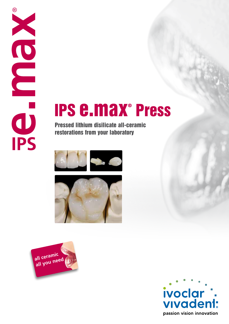# TO BU

# IPS e.max® Press

Pressed lithium disilicate all-ceramic restorations from your laboratory







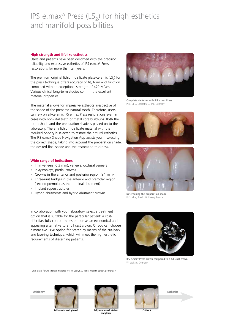## IPS e.max<sup>®</sup> Press (LS<sub>2</sub>) for high esthetics and manifold possibilities

#### **High strength and lifelike esthetics**

Users and patients have been delighted with the precision, reliability and expressive esthetics of IPS e.max® Press restorations for more than ten years.

The premium original lithium disilicate glass-ceramic  $(LS<sub>2</sub>)$  for the press technique offers accuracy of fit, form and function combined with an exceptional strength of 470 MPa\*. Various clinical long-term studies confirm the excellent material properties.

The material allows for impressive esthetics irrespective of the shade of the prepared natural tooth. Therefore, users can rely on all-ceramic IPS e.max Press restorations even in cases with non-vital teeth or metal core build-ups. Both the tooth shade and the preparation shade is passed on to the laboratory. There, a lithium disilicate material with the required opacity is selected to restore the natural esthetics. The IPS e.max Shade Navigation App assists you in selecting the correct shade, taking into account the preparation shade, the desired final shade and the restoration thickness.

#### **Wide range of indications**

- Thin veneers (0.3 mm), veneers, occlusal veneers
- Inlays/onlays, partial crowns
- Crowns in the anterior and posterior region (≥1 mm)
- Three-unit bridges in the anterior and premolar region (second premolar as the terminal abutment)
- Implant superstructures
- Hybrid abutments and hybrid abutment crowns

In collaboration with your laboratory, select a treatment option that is suitable for the particular patient: a costeffective, fully contoured restoration as an economical and appealing alternative to a full cast crown. Or you can choose a more exclusive option fabricated by means of the cut-back and layering technique, which will meet the high esthetic requirements of discerning patients.



**Complete dentures with IPS e.max Press**  Prof. Dr D. Edelhoff / O. Brix, Germany





**Determining the preparation shade**  Dr S. Kina, Brazil / G. Ubassy, France





**IPS e.max® Press crown compared to a full cast crown**  W. Weisser, Germany

\*Mean biaxial flexural strength, measured over ten years, R&D Ivoclar Vivadent, Schaan, Liechtenstein



**Fully anatomical, glazed and Fully anatomical, stained** 



**and glazed** 

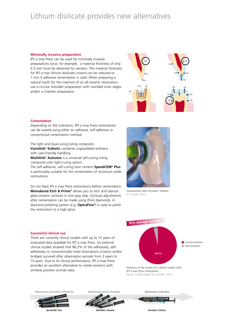# Lithium disilicate provides new alternatives

#### **Minimally invasive preparation**

IPS e.max Press can be used for minimally invasive preparations since, for example, a material thickness of only 0.3 mm must be observed for veneers. The material thickness for IPS e.max lithium disilicate crowns can be reduced to 1 mm if adhesive cementation is used. When preparing a natural tooth for the insertion of an all-ceramic restoration, use a circular shoulder preparation with rounded inner edges and/or a chamfer preparation.



#### **Cementation**

Depending on the indication, IPS e.max Press restorations can be seated using either an adhesive, self-adhesive or conventional cementation method.

The light and dual-curing luting composite **Variolink® Esthetic** combines unparalleled esthetics with user-friendly handling.

**Multilink® Automix** is a universal self-curing luting composite with light-curing option.

The self-adhesive, self-curing resin cement **SpeedCEM® Plus** is particularly suitable for the cementation of zirconium oxide restorations.

Do not blast IPS e.max Press restorations before cementation. **Monobond Etch & Prime®** allows you to etch and silanize glass-ceramic surfaces in one easy step. Occlusal adjustments after cementation can be made using (fine) diamonds. A diamond polishing system (e.g. **OptraFine®**) is used to polish the restoration to a high gloss.



**Cementation with Variolink® Esthetic**  Dr S. Koubi, France

#### **Successful clinical use**

There are currently clinical studies with up to 12 years of evaluated data available for IPS e.max Press. Six external clinical studies showed that 96.2% of the adhesively, selfadhesively or conventionally luted restorations (crowns and/or bridges) survived after observation periods from 3 years to 10 years. Due to its clinical performance, IPS e.max Press provides an excellent alternative to metal-ceramics with similarly positive survival rates.



**Summary of the results of 6 clinical studies with IPS e.max Press restorations**  (Source: Scientific Report Vol. 03/2001–2017)